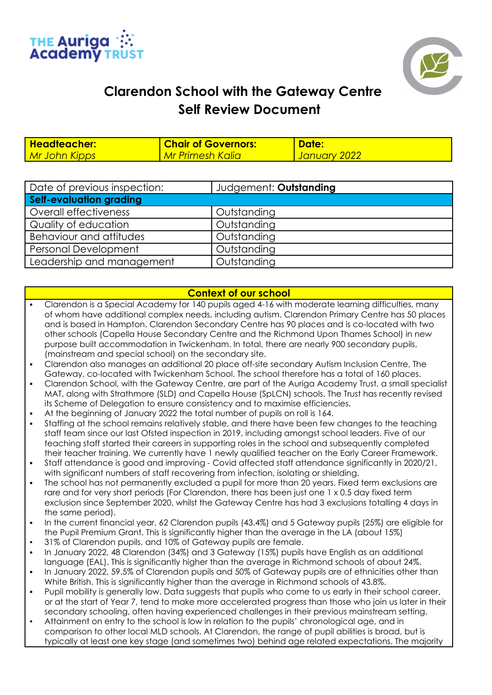



## **Clarendon School with the Gateway Centre Self Review Document**

| Headteacher:  | <b>Chair of Governors:</b>      | Date:        |
|---------------|---------------------------------|--------------|
| Mr John Kipps | <mark>  Mr Primesh Kalia</mark> | January 2022 |

| Date of previous inspection:   | Judgement: Outstanding |
|--------------------------------|------------------------|
| <b>Self-evaluation grading</b> |                        |
| Overall effectiveness          | Outstanding            |
| Quality of education           | Outstanding            |
| Behaviour and attitudes        | Outstanding            |
| <b>Personal Development</b>    | Outstanding            |
| Leadership and management      | Outstanding            |

## **Context of our school**

- Clarendon is a Special Academy for 140 pupils aged 4-16 with moderate learning difficulties, many of whom have additional complex needs, including autism. Clarendon Primary Centre has 50 places and is based in Hampton. Clarendon Secondary Centre has 90 places and is co-located with two other schools (Capella House Secondary Centre and the Richmond Upon Thames School) in new purpose built accommodation in Twickenham. In total, there are nearly 900 secondary pupils, (mainstream and special school) on the secondary site.
- Clarendon also manages an additional 20 place off-site secondary Autism Inclusion Centre, The Gateway, co-located with Twickenham School. The school therefore has a total of 160 places.
- Clarendon School, with the Gateway Centre, are part of the Auriga Academy Trust, a small specialist MAT, along with Strathmore (SLD) and Capella House (SpLCN) schools. The Trust has recently revised its Scheme of Delegation to ensure consistency and to maximise efficiencies.
- At the beginning of January 2022 the total number of pupils on roll is 164.
- Staffing at the school remains relatively stable, and there have been few changes to the teaching staff team since our last Ofsted inspection in 2019, including amongst school leaders. Five of our teaching staff started their careers in supporting roles in the school and subsequently completed their teacher training. We currently have 1 newly qualified teacher on the Early Career Framework.
- Staff attendance is good and improving Covid affected staff attendance significantly in 2020/21, with significant numbers of staff recovering from infection, isolating or shielding.
- The school has not permanently excluded a pupil for more than 20 years. Fixed term exclusions are rare and for very short periods (For Clarendon, there has been just one 1 x 0.5 day fixed term exclusion since September 2020, whilst the Gateway Centre has had 3 exclusions totalling 4 days in the same period).
- In the current financial year, 62 Clarendon pupils (43.4%) and 5 Gateway pupils (25%) are eligible for the Pupil Premium Grant. This is significantly higher than the average in the LA (about 15%)
- 31% of Clarendon pupils, and 10% of Gateway pupils are female.
- In January 2022, 48 Clarendon (34%) and 3 Gateway (15%) pupils have English as an additional language (EAL). This is significantly higher than the average in Richmond schools of about 24%.
- In January 2022, 59.5% of Clarendon pupils and 50% of Gateway pupils are of ethnicities other than White British. This is significantly higher than the average in Richmond schools of 43.8%.
- Pupil mobility is generally low. Data suggests that pupils who come to us early in their school career, or at the start of Year 7, tend to make more accelerated progress than those who join us later in their secondary schooling, often having experienced challenges in their previous mainstream setting.
- Attainment on entry to the school is low in relation to the pupils' chronological age, and in comparison to other local MLD schools. At Clarendon, the range of pupil abilities is broad, but is typically at least one key stage (and sometimes two) behind age related expectations. The majority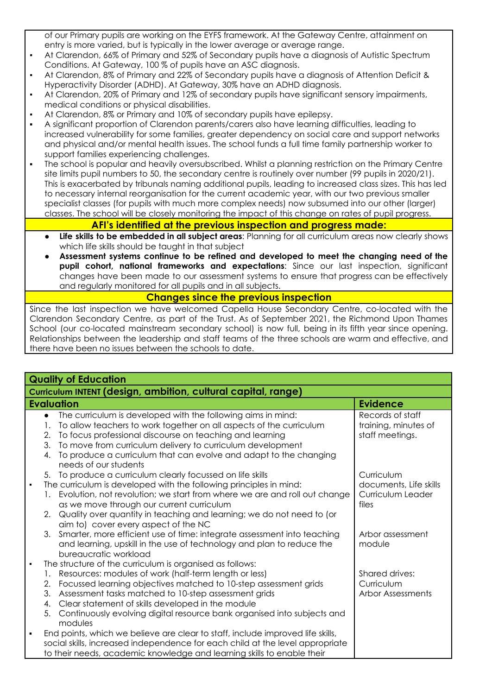of our Primary pupils are working on the EYFS framework. At the Gateway Centre, attainment on entry is more varied, but is typically in the lower average or average range.

- At Clarendon, 66% of Primary and 52% of Secondary pupils have a diagnosis of Autistic Spectrum Conditions. At Gateway, 100 % of pupils have an ASC diagnosis.
- At Clarendon, 8% of Primary and 22% of Secondary pupils have a diagnosis of Attention Deficit & Hyperactivity Disorder (ADHD). At Gateway, 30% have an ADHD diagnosis.
- At Clarendon, 20% of Primary and 12% of secondary pupils have significant sensory impairments, medical conditions or physical disabilities.
- At Clarendon, 8% or Primary and 10% of secondary pupils have epilepsy.
- A significant proportion of Clarendon parents/carers also have learning difficulties, leading to increased vulnerability for some families, greater dependency on social care and support networks and physical and/or mental health issues. The school funds a full time family partnership worker to support families experiencing challenges.
- The school is popular and heavily oversubscribed. Whilst a planning restriction on the Primary Centre site limits pupil numbers to 50, the secondary centre is routinely over number (99 pupils in 2020/21). This is exacerbated by tribunals naming additional pupils, leading to increased class sizes. This has led to necessary internal reorganisation for the current academic year, with our two previous smaller specialist classes (for pupils with much more complex needs) now subsumed into our other (larger) classes. The school will be closely monitoring the impact of this change on rates of pupil progress.

## **AFI's identified at the previous inspection and progress made:**

- **Life skills to be embedded in all subject areas**: Planning for all curriculum areas now clearly shows which life skills should be taught in that subject
- **Assessment systems continue to be refined and developed to meet the changing need of the pupil cohort, national frameworks and expectations**: Since our last inspection, significant changes have been made to our assessment systems to ensure that progress can be effectively and regularly monitored for all pupils and in all subjects.

## **Changes since the previous inspection**

Since the last inspection we have welcomed Capella House Secondary Centre, co-located with the Clarendon Secondary Centre, as part of the Trust. As of September 2021, the Richmond Upon Thames School (our co-located mainstream secondary school) is now full, being in its fifth year since opening. Relationships between the leadership and staff teams of the three schools are warm and effective, and there have been no issues between the schools to date.

| <b>Quality of Education</b>                                                                                                                                                                                                                                                                                                                                                                                                              |                                                                    |  |
|------------------------------------------------------------------------------------------------------------------------------------------------------------------------------------------------------------------------------------------------------------------------------------------------------------------------------------------------------------------------------------------------------------------------------------------|--------------------------------------------------------------------|--|
| Curriculum INTENT (design, ambition, cultural capital, range)                                                                                                                                                                                                                                                                                                                                                                            |                                                                    |  |
| <b>Evaluation</b>                                                                                                                                                                                                                                                                                                                                                                                                                        | <b>Evidence</b>                                                    |  |
| The curriculum is developed with the following aims in mind:<br>$\bullet$<br>To allow teachers to work together on all aspects of the curriculum<br>1.<br>To focus professional discourse on teaching and learning<br>2.<br>To move from curriculum delivery to curriculum development<br>3.<br>To produce a curriculum that can evolve and adapt to the changing<br>4.<br>needs of our students                                         | Records of staff<br>training, minutes of<br>staff meetings.        |  |
| 5. To produce a curriculum clearly focussed on life skills<br>The curriculum is developed with the following principles in mind:<br>$\blacksquare$<br>Evolution, not revolution; we start from where we are and roll out change<br>1.<br>as we move through our current curriculum<br>Quality over quantity in teaching and learning; we do not need to (or<br>2 <sub>1</sub><br>aim to) cover every aspect of the NC                    | Curriculum<br>documents, Life skills<br>Curriculum Leader<br>files |  |
| 3. Smarter, more efficient use of time: integrate assessment into teaching<br>and learning, upskill in the use of technology and plan to reduce the<br>bureaucratic workload                                                                                                                                                                                                                                                             | Arbor assessment<br>module                                         |  |
| The structure of the curriculum is organised as follows:<br>$\blacksquare$<br>Resources: modules of work (half-term length or less)<br>1.<br>Focussed learning objectives matched to 10-step assessment grids<br>2.<br>3.<br>Assessment tasks matched to 10-step assessment grids<br>Clear statement of skills developed in the module<br>4.<br>Continuously evolving digital resource bank organised into subjects and<br>5.<br>modules | Shared drives:<br>Curriculum<br><b>Arbor Assessments</b>           |  |
| End points, which we believe are clear to staff, include improved life skills,<br>٠<br>social skills, increased independence for each child at the level appropriate<br>to their needs, academic knowledge and learning skills to enable their                                                                                                                                                                                           |                                                                    |  |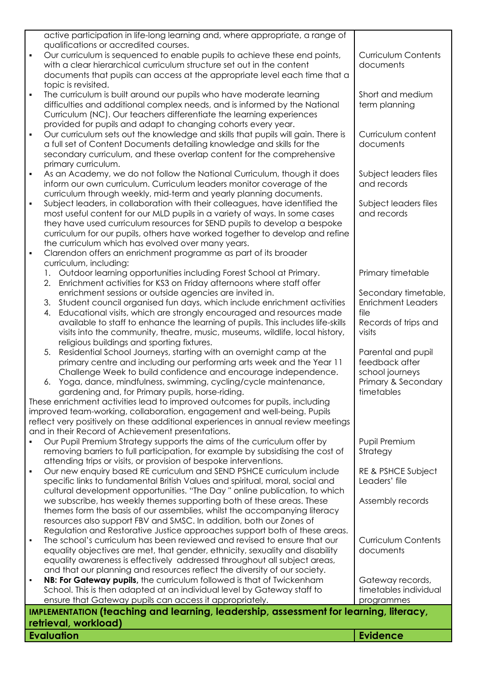|                | <b>Evaluation</b>                                                                                                                                      | <b>Evidence</b>                      |
|----------------|--------------------------------------------------------------------------------------------------------------------------------------------------------|--------------------------------------|
|                | retrieval, workload)                                                                                                                                   |                                      |
|                | IMPLEMENTATION (teaching and learning, leadership, assessment for learning, literacy,                                                                  |                                      |
|                | ensure that Gateway pupils can access it appropriately.                                                                                                | programmes                           |
|                | School. This is then adapted at an individual level by Gateway staff to                                                                                | timetables individual                |
|                | NB: For Gateway pupils, the curriculum followed is that of Twickenham                                                                                  | Gateway records,                     |
|                | and that our planning and resources reflect the diversity of our society.                                                                              |                                      |
|                | equality awareness is effectively addressed throughout all subject areas,                                                                              |                                      |
|                | equality objectives are met, that gender, ethnicity, sexuality and disability                                                                          | documents                            |
|                | The school's curriculum has been reviewed and revised to ensure that our                                                                               | <b>Curriculum Contents</b>           |
|                | Regulation and Restorative Justice approaches support both of these areas.                                                                             |                                      |
|                | resources also support FBV and SMSC. In addition, both our Zones of                                                                                    |                                      |
|                | themes form the basis of our assemblies, whilst the accompanying literacy                                                                              |                                      |
|                | we subscribe, has weekly themes supporting both of these areas. These                                                                                  | Assembly records                     |
|                | cultural development opportunities. "The Day" online publication, to which                                                                             |                                      |
|                | Our new enquiry based RE curriculum and SEND PSHCE curriculum include<br>specific links to fundamental British Values and spiritual, moral, social and | RE & PSHCE Subject<br>Leaders' file  |
|                | attending trips or visits, or provision of bespoke interventions.                                                                                      |                                      |
|                | removing barriers to full participation, for example by subsidising the cost of                                                                        | Strategy                             |
|                | Our Pupil Premium Strategy supports the aims of the curriculum offer by                                                                                | Pupil Premium                        |
|                | and in their Record of Achievement presentations.                                                                                                      |                                      |
|                | reflect very positively on these additional experiences in annual review meetings                                                                      |                                      |
|                | improved team-working, collaboration, engagement and well-being. Pupils                                                                                |                                      |
|                | These enrichment activities lead to improved outcomes for pupils, including                                                                            |                                      |
|                | gardening and, for Primary pupils, horse-riding.                                                                                                       | timetables                           |
|                | Yoga, dance, mindfulness, swimming, cycling/cycle maintenance,<br>6.                                                                                   | Primary & Secondary                  |
|                | Challenge Week to build confidence and encourage independence.                                                                                         | school journeys                      |
|                | primary centre and including our performing arts week and the Year 11                                                                                  | feedback after                       |
|                | Residential School Journeys, starting with an overnight camp at the                                                                                    | Parental and pupil                   |
|                | 5.                                                                                                                                                     |                                      |
|                | religious buildings and sporting fixtures.                                                                                                             |                                      |
|                | visits into the community, theatre, music, museums, wildlife, local history,                                                                           | visits                               |
|                | available to staff to enhance the learning of pupils. This includes life-skills                                                                        | Records of trips and                 |
|                | Educational visits, which are strongly encouraged and resources made<br>4.                                                                             | file                                 |
|                | Student council organised fun days, which include enrichment activities<br>3.                                                                          | <b>Enrichment Leaders</b>            |
|                | enrichment sessions or outside agencies are invited in.                                                                                                | Secondary timetable,                 |
|                | 2.<br>Enrichment activities for KS3 on Friday afternoons where staff offer                                                                             |                                      |
|                | 1. Outdoor learning opportunities including Forest School at Primary.                                                                                  | Primary timetable                    |
|                | curriculum, including:                                                                                                                                 |                                      |
| $\blacksquare$ | Clarendon offers an enrichment programme as part of its broader                                                                                        |                                      |
|                | the curriculum which has evolved over many years.                                                                                                      |                                      |
|                | curriculum for our pupils, others have worked together to develop and refine                                                                           |                                      |
|                | they have used curriculum resources for SEND pupils to develop a bespoke                                                                               |                                      |
|                | most useful content for our MLD pupils in a variety of ways. In some cases                                                                             | and records                          |
|                | Subject leaders, in collaboration with their colleagues, have identified the                                                                           | Subject leaders files                |
|                | curriculum through weekly, mid-term and yearly planning documents.                                                                                     |                                      |
|                | As an Academy, we do not follow the National Curriculum, though it does<br>inform our own curriculum. Curriculum leaders monitor coverage of the       | Subject leaders files<br>and records |
|                | primary curriculum.                                                                                                                                    |                                      |
|                | secondary curriculum, and these overlap content for the comprehensive                                                                                  |                                      |
|                | a full set of Content Documents detailing knowledge and skills for the                                                                                 |                                      |
|                | Our curriculum sets out the knowledge and skills that pupils will gain. There is                                                                       | documents                            |
| $\blacksquare$ | provided for pupils and adapt to changing cohorts every year.                                                                                          | Curriculum content                   |
|                | Curriculum (NC). Our teachers differentiate the learning experiences                                                                                   |                                      |
|                | difficulties and additional complex needs, and is informed by the National                                                                             | term planning                        |
|                | The curriculum is built around our pupils who have moderate learning                                                                                   |                                      |
|                | topic is revisited.                                                                                                                                    | Short and medium                     |
|                |                                                                                                                                                        |                                      |
|                | with a clear hierarchical curriculum structure set out in the content<br>documents that pupils can access at the appropriate level each time that a    | documents                            |
|                | Our curriculum is sequenced to enable pupils to achieve these end points,                                                                              | <b>Curriculum Contents</b>           |
|                | qualifications or accredited courses.                                                                                                                  |                                      |
|                | active participation in life-long learning and, where appropriate, a range of                                                                          |                                      |
|                |                                                                                                                                                        |                                      |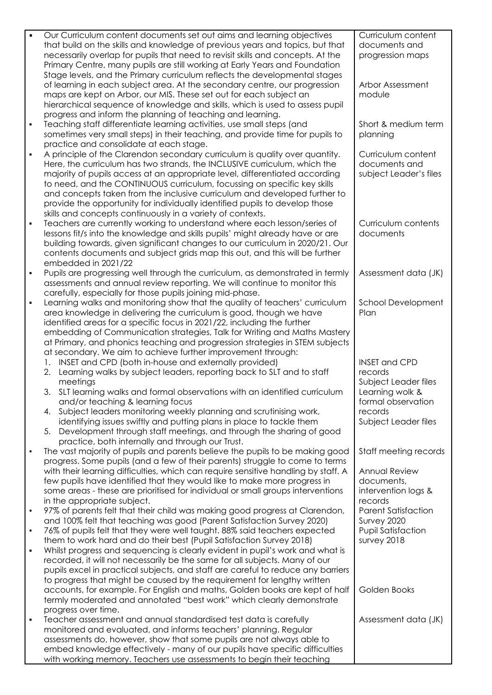| $\blacksquare$ | Our Curriculum content documents set out aims and learning objectives                                                                                              | Curriculum content              |
|----------------|--------------------------------------------------------------------------------------------------------------------------------------------------------------------|---------------------------------|
|                | that build on the skills and knowledge of previous years and topics, but that                                                                                      | documents and                   |
|                | necessarily overlap for pupils that need to revisit skills and concepts. At the                                                                                    | progression maps                |
|                | Primary Centre, many pupils are still working at Early Years and Foundation                                                                                        |                                 |
|                | Stage levels, and the Primary curriculum reflects the developmental stages<br>of learning in each subject area. At the secondary centre, our progression           | Arbor Assessment                |
|                | maps are kept on Arbor, our MIS. These set out for each subject an                                                                                                 | module                          |
|                | hierarchical sequence of knowledge and skills, which is used to assess pupil                                                                                       |                                 |
|                | progress and inform the planning of teaching and learning.                                                                                                         |                                 |
| $\blacksquare$ | Teaching staff differentiate learning activities, use small steps (and                                                                                             | Short & medium term             |
|                | sometimes very small steps) in their teaching, and provide time for pupils to                                                                                      | planning                        |
|                | practice and consolidate at each stage.                                                                                                                            |                                 |
| $\blacksquare$ | A principle of the Clarendon secondary curriculum is quality over quantity.                                                                                        | Curriculum content              |
|                | Here, the curriculum has two strands, the INCLUSIVE curriculum, which the                                                                                          | documents and                   |
|                | majority of pupils access at an appropriate level, differentiated according                                                                                        | subject Leader's files          |
|                | to need, and the CONTINUOUS curriculum, focussing on specific key skills                                                                                           |                                 |
|                | and concepts taken from the inclusive curriculum and developed further to                                                                                          |                                 |
|                | provide the opportunity for individually identified pupils to develop those                                                                                        |                                 |
|                | skills and concepts continuously in a variety of contexts.                                                                                                         |                                 |
| $\blacksquare$ | Teachers are currently working to understand where each lesson/series of                                                                                           | Curriculum contents             |
|                | lessons fit/s into the knowledge and skills pupils' might already have or are<br>building towards, given significant changes to our curriculum in 2020/21. Our     | documents                       |
|                | contents documents and subject grids map this out, and this will be further                                                                                        |                                 |
|                | embedded in 2021/22                                                                                                                                                |                                 |
| $\blacksquare$ | Pupils are progressing well through the curriculum, as demonstrated in termly                                                                                      | Assessment data (JK)            |
|                | assessments and annual review reporting. We will continue to monitor this                                                                                          |                                 |
|                | carefully, especially for those pupils joining mid-phase.                                                                                                          |                                 |
| $\blacksquare$ | Learning walks and monitoring show that the quality of teachers' curriculum                                                                                        | School Development              |
|                | area knowledge in delivering the curriculum is good, though we have                                                                                                | Plan                            |
|                | identified areas for a specific focus in 2021/22, including the further                                                                                            |                                 |
|                | embedding of Communication strategies, Talk for Writing and Maths Mastery                                                                                          |                                 |
|                | at Primary, and phonics teaching and progression strategies in STEM subjects                                                                                       |                                 |
|                | at secondary. We aim to achieve further improvement through:                                                                                                       |                                 |
|                | INSET and CPD (both in-house and externally provided)<br>1.<br>Learning walks by subject leaders, reporting back to SLT and to staff<br>2.                         | <b>INSET and CPD</b><br>records |
|                | meetings                                                                                                                                                           | Subject Leader files            |
|                | 3. SLT learning walks and formal observations with an identified curriculum                                                                                        | Learning wolk &                 |
|                | and/or teaching & learning focus                                                                                                                                   | formal observation              |
|                | 4. Subject leaders monitoring weekly planning and scrutinising work,                                                                                               | records                         |
|                | identifying issues swiftly and putting plans in place to tackle them                                                                                               | Subject Leader files            |
|                | Development through staff meetings, and through the sharing of good<br>5.                                                                                          |                                 |
|                | practice, both internally and through our Trust.                                                                                                                   |                                 |
|                | The vast majority of pupils and parents believe the pupils to be making good                                                                                       | Staff meeting records           |
|                | progress. Some pupils (and a few of their parents) struggle to come to terms<br>with their learning difficulties, which can require sensitive handling by staff. A | <b>Annual Review</b>            |
|                | few pupils have identified that they would like to make more progress in                                                                                           | documents,                      |
|                | some areas - these are prioritised for individual or small groups interventions                                                                                    | intervention logs &             |
|                | in the appropriate subject.                                                                                                                                        | records                         |
| $\blacksquare$ | 97% of parents felt that their child was making good progress at Clarendon,                                                                                        | <b>Parent Satisfaction</b>      |
|                | and 100% felt that teaching was good (Parent Satisfaction Survey 2020)                                                                                             | Survey 2020                     |
| $\blacksquare$ | 76% of pupils felt that they were well taught. 88% said teachers expected                                                                                          | <b>Pupil Satisfaction</b>       |
|                | them to work hard and do their best (Pupil Satisfaction Survey 2018)                                                                                               | survey 2018                     |
| ٠              | Whilst progress and sequencing is clearly evident in pupil's work and what is                                                                                      |                                 |
|                | recorded, it will not necessarily be the same for all subjects. Many of our                                                                                        |                                 |
|                | pupils excel in practical subjects, and staff are careful to reduce any barriers<br>to progress that might be caused by the requirement for lengthy written        |                                 |
|                | accounts, for example. For English and maths, Golden books are kept of half                                                                                        | Golden Books                    |
|                | termly moderated and annotated "best work" which clearly demonstrate                                                                                               |                                 |
|                | progress over time.                                                                                                                                                |                                 |
| ٠              | Teacher assessment and annual standardised test data is carefully                                                                                                  | Assessment data (JK)            |
|                | monitored and evaluated, and informs teachers' planning. Regular                                                                                                   |                                 |
|                | assessments do, however, show that some pupils are not always able to                                                                                              |                                 |
|                | embed knowledge effectively - many of our pupils have specific difficulties                                                                                        |                                 |
|                | with working memory. Teachers use assessments to begin their teaching                                                                                              |                                 |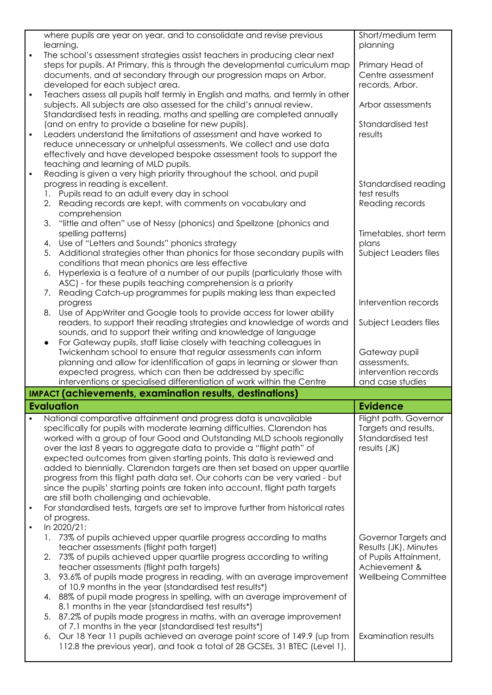|                | where pupils are year on year, and to consolidate and revise previous<br>learning.                                                                       | Short/medium term<br>planning |
|----------------|----------------------------------------------------------------------------------------------------------------------------------------------------------|-------------------------------|
|                | The school's assessment strategies assist teachers in producing clear next                                                                               |                               |
|                | steps for pupils. At Primary, this is through the developmental curriculum map                                                                           | Primary Head of               |
|                | documents, and at secondary through our progression maps on Arbor,                                                                                       | Centre assessment             |
|                | developed for each subject area.                                                                                                                         | records, Arbor.               |
| $\blacksquare$ | Teachers assess all pupils half termly in English and maths, and termly in other                                                                         |                               |
|                | subjects. All subjects are also assessed for the child's annual review.                                                                                  | Arbor assessments             |
|                | Standardised tests in reading, maths and spelling are completed annually<br>(and on entry to provide a baseline for new pupils).                         | Standardised test             |
|                | Leaders understand the limitations of assessment and have worked to                                                                                      | results                       |
|                | reduce unnecessary or unhelpful assessments. We collect and use data                                                                                     |                               |
|                | effectively and have developed bespoke assessment tools to support the                                                                                   |                               |
|                | teaching and learning of MLD pupils.                                                                                                                     |                               |
|                | Reading is given a very high priority throughout the school, and pupil                                                                                   |                               |
|                | progress in reading is excellent.                                                                                                                        | Standardised reading          |
|                | 1. Pupils read to an adult every day in school                                                                                                           | test results                  |
|                | 2. Reading records are kept, with comments on vocabulary and<br>comprehension                                                                            | Reading records               |
|                | "little and often" use of Nessy (phonics) and Spellzone (phonics and<br>3.                                                                               |                               |
|                | spelling patterns)                                                                                                                                       | Timetables, short term        |
|                | Use of "Letters and Sounds" phonics strategy<br>4.                                                                                                       | plans                         |
|                | Additional strategies other than phonics for those secondary pupils with<br>5.                                                                           | Subject Leaders files         |
|                | conditions that mean phonics are less effective                                                                                                          |                               |
|                | Hyperlexia is a feature of a number of our pupils (particularly those with<br>6.                                                                         |                               |
|                | ASC) - for these pupils teaching comprehension is a priority                                                                                             |                               |
|                | Reading Catch-up programmes for pupils making less than expected<br>7.<br>progress                                                                       | Intervention records          |
|                | Use of AppWriter and Google tools to provide access for lower ability<br>8.                                                                              |                               |
|                | readers, to support their reading strategies and knowledge of words and                                                                                  | Subject Leaders files         |
|                | sounds, and to support their writing and knowledge of language                                                                                           |                               |
|                | For Gateway pupils, staff liaise closely with teaching colleagues in<br>$\bullet$                                                                        |                               |
|                |                                                                                                                                                          |                               |
|                | Twickenham school to ensure that regular assessments can inform                                                                                          | Gateway pupil                 |
|                | planning and allow for identification of gaps in learning or slower than                                                                                 | assessments,                  |
|                | expected progress, which can then be addressed by specific                                                                                               | intervention records          |
|                | interventions or specialised differentiation of work within the Centre                                                                                   | and case studies              |
|                | <b>IMPACT</b> (achievements, examination results, destinations)                                                                                          |                               |
|                | <b>Evaluation</b>                                                                                                                                        | <b>Evidence</b>               |
|                | National comparative attainment and progress data is unavailable                                                                                         | Flight path, Governor         |
|                | specifically for pupils with moderate learning difficulties. Clarendon has                                                                               | Targets and results,          |
|                | worked with a group of four Good and Outstanding MLD schools regionally                                                                                  | Standardised test             |
|                | over the last 8 years to aggregate data to provide a "flight path" of<br>expected outcomes from given starting points. This data is reviewed and         | results (JK)                  |
|                | added to biennially. Clarendon targets are then set based on upper quartile                                                                              |                               |
|                | progress from this flight path data set. Our cohorts can be very varied - but                                                                            |                               |
|                | since the pupils' starting points are taken into account, flight path targets                                                                            |                               |
|                | are still both challenging and achievable.                                                                                                               |                               |
| $\blacksquare$ | For standardised tests, targets are set to improve further from historical rates                                                                         |                               |
| $\blacksquare$ | of progress.                                                                                                                                             |                               |
|                | In 2020/21:<br>73% of pupils achieved upper quartile progress according to maths                                                                         | Governor Targets and          |
|                | teacher assessments (flight path target)                                                                                                                 | Results (JK), Minutes         |
|                | 73% of pupils achieved upper quartile progress according to writing<br>2.                                                                                | of Pupils Attainment,         |
|                | teacher assessments (flight path targets)                                                                                                                | Achievement &                 |
|                | 93.6% of pupils made progress in reading, with an average improvement<br>3.                                                                              | <b>Wellbeing Committee</b>    |
|                | of 10.9 months in the year (standardised test results*)                                                                                                  |                               |
|                | 4. 88% of pupil made progress in spelling, with an average improvement of                                                                                |                               |
|                | 8.1 months in the year (standardised test results*)<br>87.2% of pupils made progress in maths, with an average improvement<br>5.                         |                               |
|                | of 7.1 months in the year (standardised test results*)                                                                                                   |                               |
|                | 6. Our 18 Year 11 pupils achieved an average point score of 149.9 (up from<br>112.8 the previous year), and took a total of 28 GCSEs, 31 BTEC (Level 1), | Examination results           |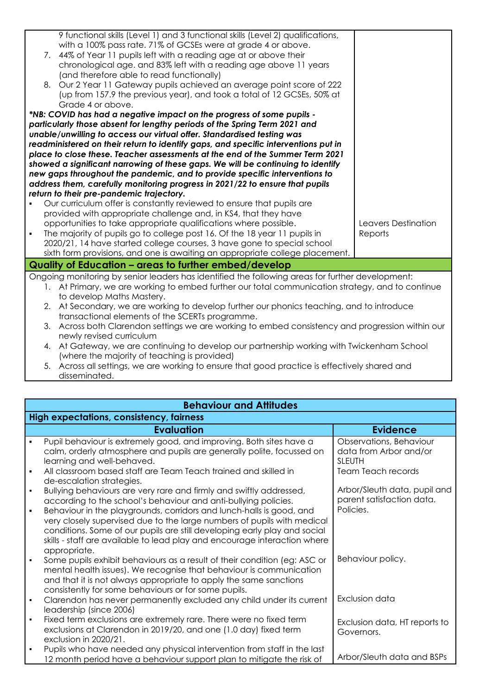|                | 9 functional skills (Level 1) and 3 functional skills (Level 2) qualifications,                  |                     |
|----------------|--------------------------------------------------------------------------------------------------|---------------------|
|                | with a 100% pass rate. 71% of GCSEs were at grade 4 or above.                                    |                     |
|                | 7. 44% of Year 11 pupils left with a reading age at or above their                               |                     |
|                |                                                                                                  |                     |
|                | chronological age. and 83% left with a reading age above 11 years                                |                     |
|                | (and therefore able to read functionally)                                                        |                     |
|                | 8. Our 2 Year 11 Gateway pupils achieved an average point score of 222                           |                     |
|                | (up from 157.9 the previous year), and took a total of 12 GCSEs, 50% at                          |                     |
|                | Grade 4 or above.                                                                                |                     |
|                | *NB: COVID has had a negative impact on the progress of some pupils -                            |                     |
|                | particularly those absent for lengthy periods of the Spring Term 2021 and                        |                     |
|                | unable/unwilling to access our virtual offer. Standardised testing was                           |                     |
|                | readministered on their return to identify gaps, and specific interventions put in               |                     |
|                | place to close these. Teacher assessments at the end of the Summer Term 2021                     |                     |
|                | showed a significant narrowing of these gaps. We will be continuing to identify                  |                     |
|                | new gaps throughout the pandemic, and to provide specific interventions to                       |                     |
|                | address them, carefully monitoring progress in 2021/22 to ensure that pupils                     |                     |
|                | return to their pre-pandemic trajectory.                                                         |                     |
|                | Our curriculum offer is constantly reviewed to ensure that pupils are                            |                     |
|                | provided with appropriate challenge and, in KS4, that they have                                  |                     |
|                | opportunities to take appropriate qualifications where possible.                                 | Leavers Destination |
| $\blacksquare$ | The majority of pupils go to college post 16. Of the 18 year 11 pupils in                        | Reports             |
|                | 2020/21, 14 have started college courses, 3 have gone to special school                          |                     |
|                | sixth form provisions, and one is awaiting an appropriate college placement.                     |                     |
|                | Quality of Education - areas to further embed/develop                                            |                     |
|                | Ongoing monitoring by senior leaders has identified the following areas for further development: |                     |
|                | 1. At Primary, we are working to embed further our total communication strategy, and to continue |                     |
|                | to develop Maths Mastery.                                                                        |                     |
|                | 2. At Secondary, we are working to develop further our phonics teaching, and to introduce        |                     |
|                | transactional elements of the SCERTs programme.                                                  |                     |
| 3.             | Across both Clarendon settings we are working to embed consistency and progression within our    |                     |
|                | newly revised curriculum                                                                         |                     |
| 4.             | At Gateway, we are continuing to develop our partnership working with Twickenham School          |                     |
|                | (where the majority of teaching is provided)                                                     |                     |
|                |                                                                                                  |                     |

5. Across all settings, we are working to ensure that good practice is effectively shared and disseminated.

|                                  | <b>Behaviour and Attitudes</b>                                                                                                                                                                                                                                                |                                                                        |  |
|----------------------------------|-------------------------------------------------------------------------------------------------------------------------------------------------------------------------------------------------------------------------------------------------------------------------------|------------------------------------------------------------------------|--|
|                                  | High expectations, consistency, fairness                                                                                                                                                                                                                                      |                                                                        |  |
|                                  | <b>Evaluation</b>                                                                                                                                                                                                                                                             | <b>Evidence</b>                                                        |  |
| $\blacksquare$                   | Pupil behaviour is extremely good, and improving. Both sites have a<br>calm, orderly atmosphere and pupils are generally polite, focussed on<br>learning and well-behaved.                                                                                                    | Observations, Behaviour<br>data from Arbor and/or<br><b>SLEUTH</b>     |  |
| $\blacksquare$                   | All classroom based staff are Team Teach trained and skilled in<br>de-escalation strategies.                                                                                                                                                                                  | <b>Team Teach records</b>                                              |  |
| $\blacksquare$<br>$\blacksquare$ | Bullying behaviours are very rare and firmly and swiftly addressed,<br>according to the school's behaviour and anti-bullying policies.<br>Behaviour in the playgrounds, corridors and lunch-halls is good, and                                                                | Arbor/Sleuth data, pupil and<br>parent satisfaction data.<br>Policies. |  |
|                                  | very closely supervised due to the large numbers of pupils with medical<br>conditions. Some of our pupils are still developing early play and social<br>skills - staff are available to lead play and encourage interaction where<br>appropriate.                             |                                                                        |  |
| $\blacksquare$                   | Some pupils exhibit behaviours as a result of their condition (eg: ASC or<br>mental health issues). We recognise that behaviour is communication<br>and that it is not always appropriate to apply the same sanctions<br>consistently for some behaviours or for some pupils. | Behaviour policy.                                                      |  |
| $\blacksquare$                   | Clarendon has never permanently excluded any child under its current<br>leadership (since 2006)                                                                                                                                                                               | Exclusion data                                                         |  |
| $\blacksquare$                   | Fixed term exclusions are extremely rare. There were no fixed term<br>exclusions at Clarendon in 2019/20, and one (1.0 day) fixed term<br>exclusion in 2020/21.                                                                                                               | Exclusion data, HT reports to<br>Governors.                            |  |
| $\blacksquare$                   | Pupils who have needed any physical intervention from staff in the last<br>12 month period have a behaviour support plan to mitigate the risk of                                                                                                                              | Arbor/Sleuth data and BSPs                                             |  |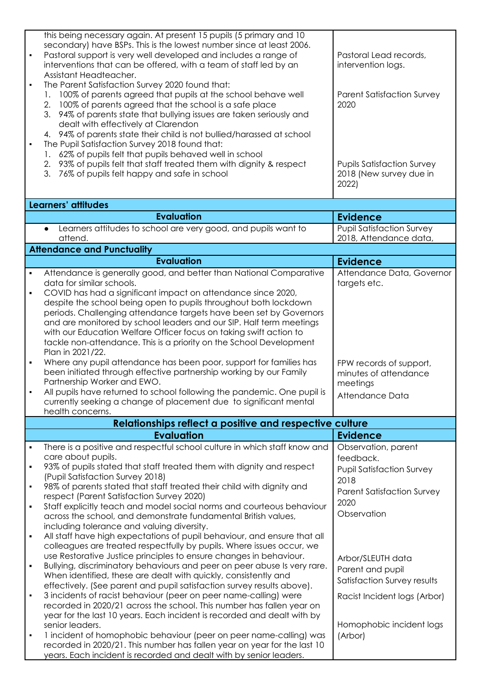|                | this being necessary again. At present 15 pupils (5 primary and 10<br>secondary) have BSPs. This is the lowest number since at least 2006.<br>Pastoral support is very well developed and includes a range of<br>interventions that can be offered, with a team of staff led by an<br>Assistant Headteacher.<br>The Parent Satisfaction Survey 2020 found that:<br>100% of parents agreed that pupils at the school behave well<br>100% of parents agreed that the school is a safe place<br>2.<br>3.<br>94% of parents state that bullying issues are taken seriously and<br>dealt with effectively at Clarendon<br>4. 94% of parents state their child is not bullied/harassed at school<br>The Pupil Satisfaction Survey 2018 found that:<br>62% of pupils felt that pupils behaved well in school<br>93% of pupils felt that staff treated them with dignity & respect<br>2.<br>3. 76% of pupils felt happy and safe in school | Pastoral Lead records,<br>intervention logs.<br><b>Parent Satisfaction Survey</b><br>2020<br><b>Pupils Satisfaction Survey</b><br>2018 (New survey due in<br>2022) |
|----------------|------------------------------------------------------------------------------------------------------------------------------------------------------------------------------------------------------------------------------------------------------------------------------------------------------------------------------------------------------------------------------------------------------------------------------------------------------------------------------------------------------------------------------------------------------------------------------------------------------------------------------------------------------------------------------------------------------------------------------------------------------------------------------------------------------------------------------------------------------------------------------------------------------------------------------------|--------------------------------------------------------------------------------------------------------------------------------------------------------------------|
|                | Learners' attitudes                                                                                                                                                                                                                                                                                                                                                                                                                                                                                                                                                                                                                                                                                                                                                                                                                                                                                                                |                                                                                                                                                                    |
|                | <b>Evaluation</b>                                                                                                                                                                                                                                                                                                                                                                                                                                                                                                                                                                                                                                                                                                                                                                                                                                                                                                                  | <b>Evidence</b>                                                                                                                                                    |
|                | Learners attitudes to school are very good, and pupils want to                                                                                                                                                                                                                                                                                                                                                                                                                                                                                                                                                                                                                                                                                                                                                                                                                                                                     | <b>Pupil Satisfaction Survey</b>                                                                                                                                   |
|                | attend.                                                                                                                                                                                                                                                                                                                                                                                                                                                                                                                                                                                                                                                                                                                                                                                                                                                                                                                            | 2018, Attendance data,                                                                                                                                             |
|                | <b>Attendance and Punctuality</b>                                                                                                                                                                                                                                                                                                                                                                                                                                                                                                                                                                                                                                                                                                                                                                                                                                                                                                  |                                                                                                                                                                    |
|                | <b>Evaluation</b>                                                                                                                                                                                                                                                                                                                                                                                                                                                                                                                                                                                                                                                                                                                                                                                                                                                                                                                  | <b>Evidence</b>                                                                                                                                                    |
| $\blacksquare$ | Attendance is generally good, and better than National Comparative<br>data for similar schools.                                                                                                                                                                                                                                                                                                                                                                                                                                                                                                                                                                                                                                                                                                                                                                                                                                    | Attendance Data, Governor<br>targets etc.                                                                                                                          |
| ٠              | COVID has had a significant impact on attendance since 2020,                                                                                                                                                                                                                                                                                                                                                                                                                                                                                                                                                                                                                                                                                                                                                                                                                                                                       |                                                                                                                                                                    |
|                | despite the school being open to pupils throughout both lockdown                                                                                                                                                                                                                                                                                                                                                                                                                                                                                                                                                                                                                                                                                                                                                                                                                                                                   |                                                                                                                                                                    |
|                | periods. Challenging attendance targets have been set by Governors                                                                                                                                                                                                                                                                                                                                                                                                                                                                                                                                                                                                                                                                                                                                                                                                                                                                 |                                                                                                                                                                    |
|                | and are monitored by school leaders and our SIP. Half term meetings<br>with our Education Welfare Officer focus on taking swift action to                                                                                                                                                                                                                                                                                                                                                                                                                                                                                                                                                                                                                                                                                                                                                                                          |                                                                                                                                                                    |
|                | tackle non-attendance. This is a priority on the School Development                                                                                                                                                                                                                                                                                                                                                                                                                                                                                                                                                                                                                                                                                                                                                                                                                                                                |                                                                                                                                                                    |
|                | Plan in 2021/22.                                                                                                                                                                                                                                                                                                                                                                                                                                                                                                                                                                                                                                                                                                                                                                                                                                                                                                                   |                                                                                                                                                                    |
| $\blacksquare$ | Where any pupil attendance has been poor, support for families has                                                                                                                                                                                                                                                                                                                                                                                                                                                                                                                                                                                                                                                                                                                                                                                                                                                                 | FPW records of support,                                                                                                                                            |
|                | been initiated through effective partnership working by our Family<br>Partnership Worker and EWO.                                                                                                                                                                                                                                                                                                                                                                                                                                                                                                                                                                                                                                                                                                                                                                                                                                  | minutes of attendance<br>meetings                                                                                                                                  |
|                | All pupils have returned to school following the pandemic. One pupil is                                                                                                                                                                                                                                                                                                                                                                                                                                                                                                                                                                                                                                                                                                                                                                                                                                                            | Attendance Data                                                                                                                                                    |
|                | currently seeking a change of placement due to significant mental                                                                                                                                                                                                                                                                                                                                                                                                                                                                                                                                                                                                                                                                                                                                                                                                                                                                  |                                                                                                                                                                    |
|                | health concerns.                                                                                                                                                                                                                                                                                                                                                                                                                                                                                                                                                                                                                                                                                                                                                                                                                                                                                                                   |                                                                                                                                                                    |
|                | Relationships reflect a positive and respective culture                                                                                                                                                                                                                                                                                                                                                                                                                                                                                                                                                                                                                                                                                                                                                                                                                                                                            |                                                                                                                                                                    |
|                | <b>Evaluation</b>                                                                                                                                                                                                                                                                                                                                                                                                                                                                                                                                                                                                                                                                                                                                                                                                                                                                                                                  | <b>Evidence</b>                                                                                                                                                    |
| $\blacksquare$ | There is a positive and respectful school culture in which staff know and<br>care about pupils.                                                                                                                                                                                                                                                                                                                                                                                                                                                                                                                                                                                                                                                                                                                                                                                                                                    | Observation, parent                                                                                                                                                |
| $\blacksquare$ | 93% of pupils stated that staff treated them with dignity and respect                                                                                                                                                                                                                                                                                                                                                                                                                                                                                                                                                                                                                                                                                                                                                                                                                                                              | feedback.<br><b>Pupil Satisfaction Survey</b>                                                                                                                      |
|                | (Pupil Satisfaction Survey 2018)                                                                                                                                                                                                                                                                                                                                                                                                                                                                                                                                                                                                                                                                                                                                                                                                                                                                                                   | 2018                                                                                                                                                               |
| $\blacksquare$ | 98% of parents stated that staff treated their child with dignity and                                                                                                                                                                                                                                                                                                                                                                                                                                                                                                                                                                                                                                                                                                                                                                                                                                                              | <b>Parent Satisfaction Survey</b>                                                                                                                                  |
| $\blacksquare$ | respect (Parent Satisfaction Survey 2020)<br>Staff explicitly teach and model social norms and courteous behaviour                                                                                                                                                                                                                                                                                                                                                                                                                                                                                                                                                                                                                                                                                                                                                                                                                 | 2020                                                                                                                                                               |
|                | across the school, and demonstrate fundamental British values,                                                                                                                                                                                                                                                                                                                                                                                                                                                                                                                                                                                                                                                                                                                                                                                                                                                                     | Observation                                                                                                                                                        |
|                | including tolerance and valuing diversity.                                                                                                                                                                                                                                                                                                                                                                                                                                                                                                                                                                                                                                                                                                                                                                                                                                                                                         |                                                                                                                                                                    |
| $\blacksquare$ | All staff have high expectations of pupil behaviour, and ensure that all                                                                                                                                                                                                                                                                                                                                                                                                                                                                                                                                                                                                                                                                                                                                                                                                                                                           |                                                                                                                                                                    |
|                | colleagues are treated respectfully by pupils. Where issues occur, we<br>use Restorative Justice principles to ensure changes in behaviour.                                                                                                                                                                                                                                                                                                                                                                                                                                                                                                                                                                                                                                                                                                                                                                                        | Arbor/SLEUTH data                                                                                                                                                  |
| $\blacksquare$ | Bullying, discriminatory behaviours and peer on peer abuse Is very rare.                                                                                                                                                                                                                                                                                                                                                                                                                                                                                                                                                                                                                                                                                                                                                                                                                                                           | Parent and pupil                                                                                                                                                   |
|                | When identified, these are dealt with quickly, consistently and                                                                                                                                                                                                                                                                                                                                                                                                                                                                                                                                                                                                                                                                                                                                                                                                                                                                    | Satisfaction Survey results                                                                                                                                        |
| $\blacksquare$ | effectively. (See parent and pupil satisfaction survey results above).<br>3 incidents of racist behaviour (peer on peer name-calling) were                                                                                                                                                                                                                                                                                                                                                                                                                                                                                                                                                                                                                                                                                                                                                                                         |                                                                                                                                                                    |
|                | recorded in 2020/21 across the school. This number has fallen year on                                                                                                                                                                                                                                                                                                                                                                                                                                                                                                                                                                                                                                                                                                                                                                                                                                                              | Racist Incident logs (Arbor)                                                                                                                                       |
|                | year for the last 10 years. Each incident is recorded and dealt with by                                                                                                                                                                                                                                                                                                                                                                                                                                                                                                                                                                                                                                                                                                                                                                                                                                                            |                                                                                                                                                                    |
|                | senior leaders.                                                                                                                                                                                                                                                                                                                                                                                                                                                                                                                                                                                                                                                                                                                                                                                                                                                                                                                    | Homophobic incident logs                                                                                                                                           |
| $\blacksquare$ | 1 incident of homophobic behaviour (peer on peer name-calling) was<br>recorded in 2020/21. This number has fallen year on year for the last 10                                                                                                                                                                                                                                                                                                                                                                                                                                                                                                                                                                                                                                                                                                                                                                                     | (Arbor)                                                                                                                                                            |
|                | years. Each incident is recorded and dealt with by senior leaders.                                                                                                                                                                                                                                                                                                                                                                                                                                                                                                                                                                                                                                                                                                                                                                                                                                                                 |                                                                                                                                                                    |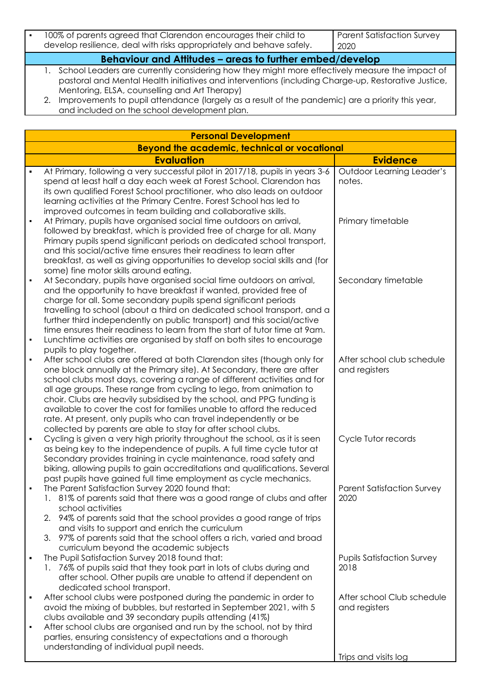| 100% of parents agreed that Clarendon encourages their child to<br>develop resilience, deal with risks appropriately and behave safely. | Parent Satisfaction Survey<br>$\mid$ 2020 |
|-----------------------------------------------------------------------------------------------------------------------------------------|-------------------------------------------|
|                                                                                                                                         |                                           |

**Behaviour and Attitudes – areas to further embed/develop**

1. School Leaders are currently considering how they might more effectively measure the impact of pastoral and Mental Health initiatives and interventions (including Charge-up, Restorative Justice, Mentoring, ELSA, counselling and Art Therapy)

2. Improvements to pupil attendance (largely as a result of the pandemic) are a priority this year, and included on the school development plan.

|                                  | <b>Personal Development</b>                                                                                                                                                                                                                                                                                                                                                                                                                                                                                                                                                                 |                                             |
|----------------------------------|---------------------------------------------------------------------------------------------------------------------------------------------------------------------------------------------------------------------------------------------------------------------------------------------------------------------------------------------------------------------------------------------------------------------------------------------------------------------------------------------------------------------------------------------------------------------------------------------|---------------------------------------------|
|                                  | <b>Beyond the academic, technical or vocational</b>                                                                                                                                                                                                                                                                                                                                                                                                                                                                                                                                         |                                             |
|                                  | <b>Evaluation</b>                                                                                                                                                                                                                                                                                                                                                                                                                                                                                                                                                                           | <b>Evidence</b>                             |
| $\blacksquare$                   | At Primary, following a very successful pilot in 2017/18, pupils in years 3-6<br>spend at least half a day each week at Forest School. Clarendon has<br>its own qualified Forest School practitioner, who also leads on outdoor<br>learning activities at the Primary Centre. Forest School has led to                                                                                                                                                                                                                                                                                      | <b>Outdoor Learning Leader's</b><br>notes.  |
| $\blacksquare$                   | improved outcomes in team building and collaborative skills.<br>At Primary, pupils have organised social time outdoors on arrival,<br>followed by breakfast, which is provided free of charge for all. Many<br>Primary pupils spend significant periods on dedicated school transport,<br>and this social/active time ensures their readiness to learn after<br>breakfast, as well as giving opportunities to develop social skills and (for<br>some) fine motor skills around eating.                                                                                                      | Primary timetable                           |
| $\blacksquare$<br>$\blacksquare$ | At Secondary, pupils have organised social time outdoors on arrival,<br>and the opportunity to have breakfast if wanted, provided free of<br>charge for all. Some secondary pupils spend significant periods<br>travelling to school (about a third on dedicated school transport, and a<br>further third independently on public transport) and this social/active<br>time ensures their readiness to learn from the start of tutor time at 9am.<br>Lunchtime activities are organised by staff on both sites to encourage<br>pupils to play together.                                     | Secondary timetable                         |
| $\blacksquare$                   | After school clubs are offered at both Clarendon sites (though only for<br>one block annually at the Primary site). At Secondary, there are after<br>school clubs most days, covering a range of different activities and for<br>all age groups. These range from cycling to lego, from animation to<br>choir. Clubs are heavily subsidised by the school, and PPG funding is<br>available to cover the cost for families unable to afford the reduced<br>rate. At present, only pupils who can travel independently or be<br>collected by parents are able to stay for after school clubs. | After school club schedule<br>and registers |
| $\blacksquare$                   | Cycling is given a very high priority throughout the school, as it is seen<br>as being key to the independence of pupils. A full time cycle tutor at<br>Secondary provides training in cycle maintenance, road safety and<br>biking, allowing pupils to gain accreditations and qualifications. Several<br>past pupils have gained full time employment as cycle mechanics.                                                                                                                                                                                                                 | Cycle Tutor records                         |
|                                  | The Parent Satisfaction Survey 2020 found that:<br>1. 81% of parents said that there was a good range of clubs and after<br>school activities<br>94% of parents said that the school provides a good range of trips<br>2.<br>and visits to support and enrich the curriculum<br>97% of parents said that the school offers a rich, varied and broad<br>3.                                                                                                                                                                                                                                   | <b>Parent Satisfaction Survey</b><br>2020   |
| $\blacksquare$                   | curriculum beyond the academic subjects<br>The Pupil Satisfaction Survey 2018 found that:<br>1. 76% of pupils said that they took part in lots of clubs during and<br>after school. Other pupils are unable to attend if dependent on<br>dedicated school transport.                                                                                                                                                                                                                                                                                                                        | <b>Pupils Satisfaction Survey</b><br>2018   |
| ٠<br>$\blacksquare$              | After school clubs were postponed during the pandemic in order to<br>avoid the mixing of bubbles, but restarted in September 2021, with 5<br>clubs available and 39 secondary pupils attending (41%)<br>After school clubs are organised and run by the school, not by third<br>parties, ensuring consistency of expectations and a thorough                                                                                                                                                                                                                                                | After school Club schedule<br>and registers |
|                                  | understanding of individual pupil needs.                                                                                                                                                                                                                                                                                                                                                                                                                                                                                                                                                    | Trips and visits log                        |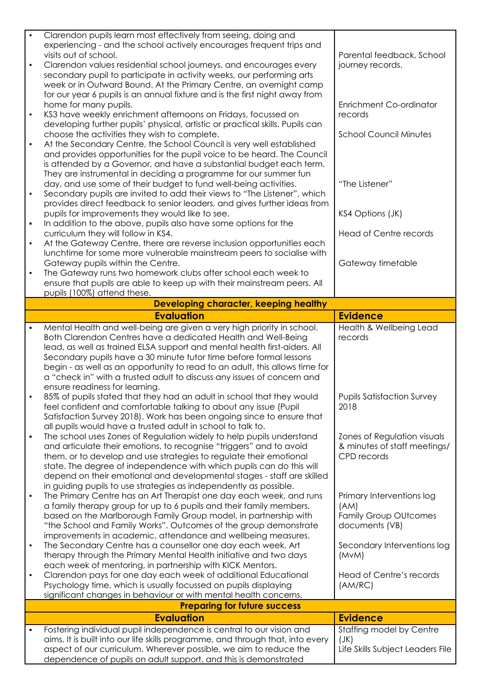| $\blacksquare$<br>$\blacksquare$<br>$\blacksquare$ | Clarendon pupils learn most effectively from seeing, doing and<br>experiencing - and the school actively encourages frequent trips and<br>visits out of school.<br>Clarendon values residential school journeys, and encourages every<br>secondary pupil to participate in activity weeks, our performing arts<br>week or in Outward Bound. At the Primary Centre, an overnight camp<br>for our year 6 pupils is an annual fixture and is the first night away from<br>home for many pupils.<br>KS3 have weekly enrichment afternoons on Fridays, focussed on | Parental feedback, School<br>journey records.<br><b>Enrichment Co-ordinator</b><br>records |
|----------------------------------------------------|---------------------------------------------------------------------------------------------------------------------------------------------------------------------------------------------------------------------------------------------------------------------------------------------------------------------------------------------------------------------------------------------------------------------------------------------------------------------------------------------------------------------------------------------------------------|--------------------------------------------------------------------------------------------|
| $\blacksquare$                                     | developing further pupils' physical, artistic or practical skills. Pupils can<br>choose the activities they wish to complete.<br>At the Secondary Centre, the School Council is very well established<br>and provides opportunities for the pupil voice to be heard. The Council<br>is attended by a Governor, and have a substantial budget each term.                                                                                                                                                                                                       | <b>School Council Minutes</b>                                                              |
| $\blacksquare$                                     | They are instrumental in deciding a programme for our summer fun<br>day, and use some of their budget to fund well-being activities.<br>Secondary pupils are invited to add their views to "The Listener", which<br>provides direct feedback to senior leaders, and gives further ideas from                                                                                                                                                                                                                                                                  | "The Listener"                                                                             |
| ٠                                                  | pupils for improvements they would like to see.<br>In addition to the above, pupils also have some options for the<br>curriculum they will follow in KS4.                                                                                                                                                                                                                                                                                                                                                                                                     | KS4 Options (JK)<br><b>Head of Centre records</b>                                          |
| $\blacksquare$<br>$\blacksquare$                   | At the Gateway Centre, there are reverse inclusion opportunities each<br>lunchtime for some more vulnerable mainstream peers to socialise with<br>Gateway pupils within the Centre.<br>The Gateway runs two homework clubs after school each week to                                                                                                                                                                                                                                                                                                          | Gateway timetable                                                                          |
|                                                    | ensure that pupils are able to keep up with their mainstream peers. All<br>pupils (100%) attend these.                                                                                                                                                                                                                                                                                                                                                                                                                                                        |                                                                                            |
|                                                    | Developing character, keeping healthy                                                                                                                                                                                                                                                                                                                                                                                                                                                                                                                         |                                                                                            |
|                                                    | <b>Evaluation</b>                                                                                                                                                                                                                                                                                                                                                                                                                                                                                                                                             | <b>Evidence</b>                                                                            |
| $\blacksquare$                                     | Mental Health and well-being are given a very high priority in school.<br>Both Clarendon Centres have a dedicated Health and Well-Being<br>lead, as well as trained ELSA support and mental health first-aiders. All<br>Secondary pupils have a 30 minute tutor time before formal lessons<br>begin - as well as an opportunity to read to an adult, this allows time for<br>a "check in" with a trusted adult to discuss any issues of concern and                                                                                                           | Health & Wellbeing Lead<br>records                                                         |
|                                                    | ensure readiness for learning.<br>85% of pupils stated that they had an adult in school that they would<br>feel confident and comfortable talking to about any issue (Pupil<br>Satisfaction Survey 2018). Work has been ongoing since to ensure that<br>all pupils would have a trusted adult in school to talk to.                                                                                                                                                                                                                                           | <b>Pupils Satisfaction Survey</b><br>2018                                                  |
| ٠                                                  | The school uses Zones of Regulation widely to help pupils understand<br>and articulate their emotions, to recognise "triggers" and to avoid<br>them, or to develop and use strategies to regulate their emotional<br>state. The degree of independence with which pupils can do this will<br>depend on their emotional and developmental stages - staff are skilled<br>in guiding pupils to use strategies as independently as possible.                                                                                                                      | Zones of Regulation visuals<br>& minutes of staff meetings/<br>CPD records                 |
| $\blacksquare$                                     | The Primary Centre has an Art Therapist one day each week, and runs<br>a family therapy group for up to 6 pupils and their family members,<br>based on the Marlborough Family Group model, in partnership with<br>"the School and Family Works". Outcomes of the group demonstrate<br>improvements in academic, attendance and wellbeing measures.                                                                                                                                                                                                            | Primary Interventions log<br>(AM)<br><b>Family Group OUtcomes</b><br>documents (VB)        |
| $\blacksquare$                                     | The Secondary Centre has a counsellor one day each week, Art<br>therapy through the Primary Mental Health initiative and two days<br>each week of mentoring, in partnership with KICK Mentors.                                                                                                                                                                                                                                                                                                                                                                | Secondary Interventions log<br>(MVM)                                                       |
| $\blacksquare$                                     | Clarendon pays for one day each week of additional Educational<br>Psychology time, which is usually focussed on pupils displaying<br>significant changes in behaviour or with mental health concerns.                                                                                                                                                                                                                                                                                                                                                         | Head of Centre's records<br>(AM/RC)                                                        |
|                                                    | <b>Preparing for future success</b>                                                                                                                                                                                                                                                                                                                                                                                                                                                                                                                           |                                                                                            |
|                                                    | <b>Evaluation</b>                                                                                                                                                                                                                                                                                                                                                                                                                                                                                                                                             | <b>Evidence</b>                                                                            |
| ٠                                                  | Fostering individual pupil independence is central to our vision and                                                                                                                                                                                                                                                                                                                                                                                                                                                                                          | Staffing model by Centre                                                                   |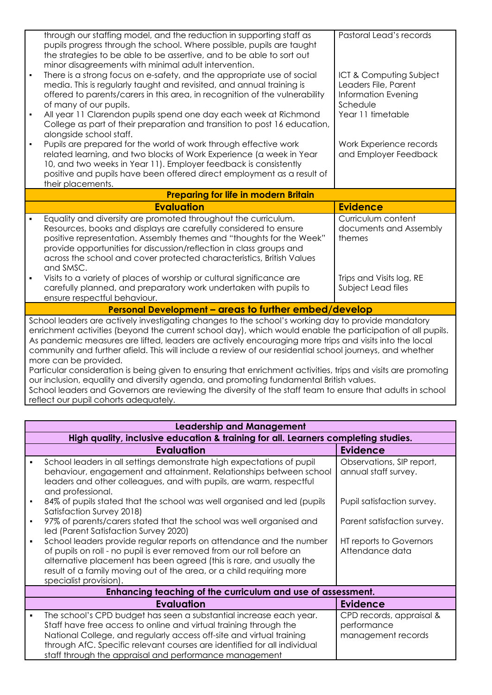|                                                                                                                                                                                                                                                                                                                                                                                                                                                                                                                                                                                                                                                                                                                                                                                                                                     | through our staffing model, and the reduction in supporting staff as<br>pupils progress through the school. Where possible, pupils are taught<br>the strategies to be able to be assertive, and to be able to sort out<br>minor disagreements with minimal adult intervention.                                                                                          | Pastoral Lead's records                                                                   |  |  |
|-------------------------------------------------------------------------------------------------------------------------------------------------------------------------------------------------------------------------------------------------------------------------------------------------------------------------------------------------------------------------------------------------------------------------------------------------------------------------------------------------------------------------------------------------------------------------------------------------------------------------------------------------------------------------------------------------------------------------------------------------------------------------------------------------------------------------------------|-------------------------------------------------------------------------------------------------------------------------------------------------------------------------------------------------------------------------------------------------------------------------------------------------------------------------------------------------------------------------|-------------------------------------------------------------------------------------------|--|--|
|                                                                                                                                                                                                                                                                                                                                                                                                                                                                                                                                                                                                                                                                                                                                                                                                                                     | There is a strong focus on e-safety, and the appropriate use of social<br>media. This is regularly taught and revisited, and annual training is<br>offered to parents/carers in this area, in recognition of the vulnerability<br>of many of our pupils.                                                                                                                | ICT & Computing Subject<br>Leaders File, Parent<br><b>Information Evening</b><br>Schedule |  |  |
|                                                                                                                                                                                                                                                                                                                                                                                                                                                                                                                                                                                                                                                                                                                                                                                                                                     | All year 11 Clarendon pupils spend one day each week at Richmond<br>College as part of their preparation and transition to post 16 education,<br>alongside school staff.                                                                                                                                                                                                | Year 11 timetable                                                                         |  |  |
|                                                                                                                                                                                                                                                                                                                                                                                                                                                                                                                                                                                                                                                                                                                                                                                                                                     | Pupils are prepared for the world of work through effective work<br>related learning, and two blocks of Work Experience (a week in Year<br>10, and two weeks in Year 11). Employer feedback is consistently<br>positive and pupils have been offered direct employment as a result of<br>their placements.                                                              | Work Experience records<br>and Employer Feedback                                          |  |  |
|                                                                                                                                                                                                                                                                                                                                                                                                                                                                                                                                                                                                                                                                                                                                                                                                                                     | <b>Preparing for life in modern Britain</b>                                                                                                                                                                                                                                                                                                                             |                                                                                           |  |  |
|                                                                                                                                                                                                                                                                                                                                                                                                                                                                                                                                                                                                                                                                                                                                                                                                                                     | <b>Evaluation</b>                                                                                                                                                                                                                                                                                                                                                       | <b>Evidence</b>                                                                           |  |  |
|                                                                                                                                                                                                                                                                                                                                                                                                                                                                                                                                                                                                                                                                                                                                                                                                                                     | Equality and diversity are promoted throughout the curriculum.<br>Resources, books and displays are carefully considered to ensure<br>positive representation. Assembly themes and "thoughts for the Week"<br>provide opportunities for discussion/reflection in class groups and<br>across the school and cover protected characteristics, British Values<br>and SMSC. | Curriculum content<br>documents and Assembly<br>themes                                    |  |  |
|                                                                                                                                                                                                                                                                                                                                                                                                                                                                                                                                                                                                                                                                                                                                                                                                                                     | Visits to a variety of places of worship or cultural significance are<br>carefully planned, and preparatory work undertaken with pupils to<br>ensure respectful behaviour.                                                                                                                                                                                              | Trips and Visits log, RE<br>Subject Lead files                                            |  |  |
| Personal Development - areas to further embed/develop                                                                                                                                                                                                                                                                                                                                                                                                                                                                                                                                                                                                                                                                                                                                                                               |                                                                                                                                                                                                                                                                                                                                                                         |                                                                                           |  |  |
| School leaders are actively investigating changes to the school's working day to provide mandatory<br>enrichment activities (beyond the current school day), which would enable the participation of all pupils.<br>As pandemic measures are lifted, leaders are actively encouraging more trips and visits into the local<br>community and further afield. This will include a review of our residential school journeys, and whether<br>more can be provided.<br>Particular consideration is being given to ensuring that enrichment activities, trips and visits are promoting<br>our inclusion, equality and diversity agenda, and promoting fundamental British values.<br>School leaders and Governors are reviewing the diversity of the staff team to ensure that adults in school<br>reflect our pupil cohorts adequately. |                                                                                                                                                                                                                                                                                                                                                                         |                                                                                           |  |  |

| <b>Leadership and Management</b>                                                   |                                                                                                                                                                                                                                                                                                                                                       |                                                               |  |
|------------------------------------------------------------------------------------|-------------------------------------------------------------------------------------------------------------------------------------------------------------------------------------------------------------------------------------------------------------------------------------------------------------------------------------------------------|---------------------------------------------------------------|--|
| High quality, inclusive education & training for all. Learners completing studies. |                                                                                                                                                                                                                                                                                                                                                       |                                                               |  |
|                                                                                    | <b>Evaluation</b>                                                                                                                                                                                                                                                                                                                                     | <b>Evidence</b>                                               |  |
|                                                                                    | School leaders in all settings demonstrate high expectations of pupil<br>behaviour, engagement and attainment. Relationships between school<br>leaders and other colleagues, and with pupils, are warm, respectful<br>and professional.                                                                                                               | Observations, SIP report,<br>annual staff survey.             |  |
|                                                                                    | 84% of pupils stated that the school was well organised and led (pupils<br>Satisfaction Survey 2018)                                                                                                                                                                                                                                                  | Pupil satisfaction survey.                                    |  |
|                                                                                    | 97% of parents/carers stated that the school was well organised and<br>led (Parent Satisfaction Survey 2020)                                                                                                                                                                                                                                          | Parent satisfaction survey.                                   |  |
| $\blacksquare$                                                                     | School leaders provide regular reports on attendance and the number<br>of pupils on roll - no pupil is ever removed from our roll before an<br>alternative placement has been agreed (this is rare, and usually the<br>result of a family moving out of the area, or a child requiring more<br>specialist provision).                                 | HT reports to Governors<br>Attendance data                    |  |
|                                                                                    | Enhancing teaching of the curriculum and use of assessment.                                                                                                                                                                                                                                                                                           |                                                               |  |
|                                                                                    | <b>Evaluation</b>                                                                                                                                                                                                                                                                                                                                     | <b>Evidence</b>                                               |  |
|                                                                                    | The school's CPD budget has seen a substantial increase each year.<br>Staff have free access to online and virtual training through the<br>National College, and regularly access off-site and virtual training<br>through AfC. Specific relevant courses are identified for all individual<br>staff through the appraisal and performance management | CPD records, appraisal &<br>performance<br>management records |  |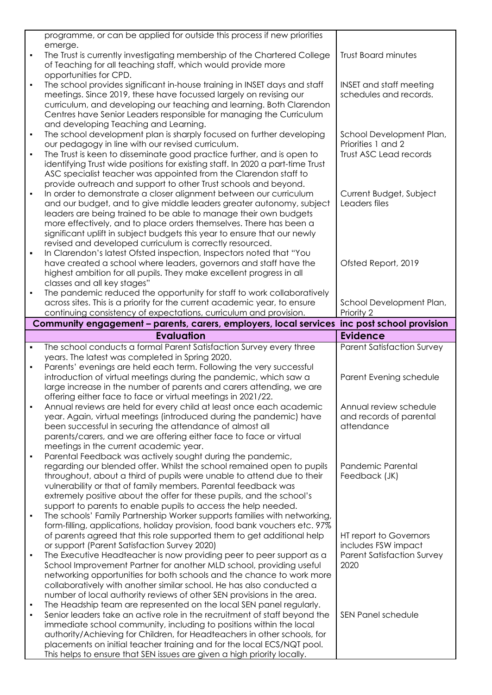|                | programme, or can be applied for outside this process if new priorities        |                                   |
|----------------|--------------------------------------------------------------------------------|-----------------------------------|
|                | emerge.                                                                        |                                   |
| $\blacksquare$ | The Trust is currently investigating membership of the Chartered College       | <b>Trust Board minutes</b>        |
|                | of Teaching for all teaching staff, which would provide more                   |                                   |
|                | opportunities for CPD.                                                         |                                   |
| $\blacksquare$ | The school provides significant in-house training in INSET days and staff      | <b>INSET and staff meeting</b>    |
|                | meetings. Since 2019, these have focussed largely on revising our              | schedules and records.            |
|                | curriculum, and developing our teaching and learning. Both Clarendon           |                                   |
|                | Centres have Senior Leaders responsible for managing the Curriculum            |                                   |
|                |                                                                                |                                   |
|                | and developing Teaching and Learning.                                          |                                   |
| $\blacksquare$ | The school development plan is sharply focused on further developing           | School Development Plan,          |
|                | our pedagogy in line with our revised curriculum.                              | Priorities 1 and 2                |
| $\blacksquare$ | The Trust is keen to disseminate good practice further, and is open to         | Trust ASC Lead records            |
|                | identifying Trust wide positions for existing staff. In 2020 a part-time Trust |                                   |
|                | ASC specialist teacher was appointed from the Clarendon staff to               |                                   |
|                | provide outreach and support to other Trust schools and beyond.                |                                   |
| $\blacksquare$ | In order to demonstrate a closer alignment between our curriculum              | Current Budget, Subject           |
|                | and our budget, and to give middle leaders greater autonomy, subject           | Leaders files                     |
|                | leaders are being trained to be able to manage their own budgets               |                                   |
|                | more effectively, and to place orders themselves. There has been a             |                                   |
|                |                                                                                |                                   |
|                | significant uplift in subject budgets this year to ensure that our newly       |                                   |
|                | revised and developed curriculum is correctly resourced.                       |                                   |
| $\blacksquare$ | In Clarendon's latest Ofsted inspection, Inspectors noted that "You            |                                   |
|                | have created a school where leaders, governors and staff have the              | Ofsted Report, 2019               |
|                | highest ambition for all pupils. They make excellent progress in all           |                                   |
|                | classes and all key stages"                                                    |                                   |
| $\blacksquare$ | The pandemic reduced the opportunity for staff to work collaboratively         |                                   |
|                | across sites. This is a priority for the current academic year, to ensure      | School Development Plan,          |
|                | continuing consistency of expectations, curriculum and provision.              | Priority 2                        |
|                | Community engagement - parents, carers, employers, local services              | inc post school provision         |
|                |                                                                                |                                   |
|                | <b>Evaluation</b>                                                              | <b>Evidence</b>                   |
|                |                                                                                |                                   |
| $\blacksquare$ | The school conducts a formal Parent Satisfaction Survey every three            | <b>Parent Satisfaction Survey</b> |
|                | years. The latest was completed in Spring 2020.                                |                                   |
| $\blacksquare$ | Parents' evenings are held each term. Following the very successful            |                                   |
|                | introduction of virtual meetings during the pandemic, which saw a              | Parent Evening schedule           |
|                | large increase in the number of parents and carers attending, we are           |                                   |
|                |                                                                                |                                   |
| $\blacksquare$ | offering either face to face or virtual meetings in 2021/22.                   |                                   |
|                | Annual reviews are held for every child at least once each academic            | Annual review schedule            |
|                | year. Again, virtual meetings (introduced during the pandemic) have            | and records of parental           |
|                | been successful in securing the attendance of almost all                       | attendance                        |
|                | parents/carers, and we are offering either face to face or virtual             |                                   |
|                | meetings in the current academic year.                                         |                                   |
| $\blacksquare$ | Parental Feedback was actively sought during the pandemic,                     |                                   |
|                | regarding our blended offer. Whilst the school remained open to pupils         | Pandemic Parental                 |
|                | throughout, about a third of pupils were unable to attend due to their         | Feedback (JK)                     |
|                | vulnerability or that of family members. Parental feedback was                 |                                   |
|                | extremely positive about the offer for these pupils, and the school's          |                                   |
|                | support to parents to enable pupils to access the help needed.                 |                                   |
| $\blacksquare$ | The schools' Family Partnership Worker supports families with networking,      |                                   |
|                | form-filling, applications, holiday provision, food bank vouchers etc. 97%     |                                   |
|                |                                                                                |                                   |
|                | of parents agreed that this role supported them to get additional help         | HT report to Governors            |
| $\blacksquare$ | or support (Parent Satisfaction Survey 2020)                                   | includes FSW impact               |
|                | The Executive Headteacher is now providing peer to peer support as a           | <b>Parent Satisfaction Survey</b> |
|                | School Improvement Partner for another MLD school, providing useful            | 2020                              |
|                | networking opportunities for both schools and the chance to work more          |                                   |
|                | collaboratively with another similar school. He has also conducted a           |                                   |
|                | number of local authority reviews of other SEN provisions in the area.         |                                   |
| $\blacksquare$ | The Headship team are represented on the local SEN panel regularly.            |                                   |
| $\blacksquare$ | Senior leaders take an active role in the recruitment of staff beyond the      | <b>SEN Panel schedule</b>         |
|                | immediate school community, including to positions within the local            |                                   |
|                | authority/Achieving for Children, for Headteachers in other schools, for       |                                   |
|                | placements on initial teacher training and for the local ECS/NQT pool.         |                                   |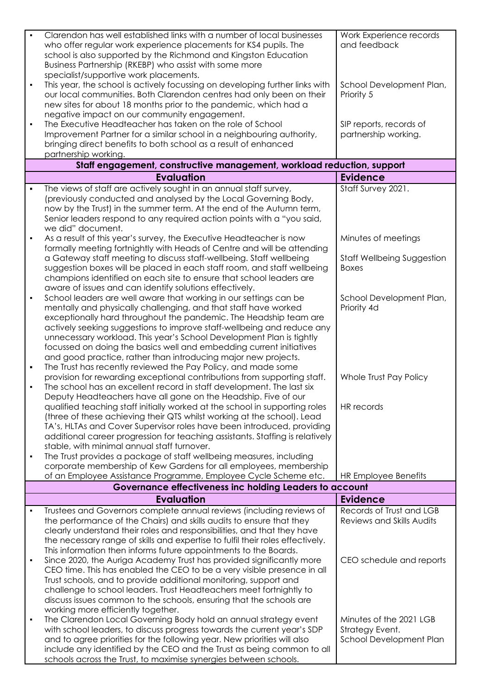| $\blacksquare$ | Clarendon has well established links with a number of local businesses         | Work Experience records           |
|----------------|--------------------------------------------------------------------------------|-----------------------------------|
|                | who offer regular work experience placements for KS4 pupils. The               | and feedback                      |
|                | school is also supported by the Richmond and Kingston Education                |                                   |
|                |                                                                                |                                   |
|                | Business Partnership (RKEBP) who assist with some more                         |                                   |
|                | specialist/supportive work placements.                                         |                                   |
| $\blacksquare$ | This year, the school is actively focussing on developing further links with   | School Development Plan,          |
|                | our local communities. Both Clarendon centres had only been on their           | Priority 5                        |
|                | new sites for about 18 months prior to the pandemic, which had a               |                                   |
|                | negative impact on our community engagement.                                   |                                   |
| $\blacksquare$ | The Executive Headteacher has taken on the role of School                      | SIP reports, records of           |
|                | Improvement Partner for a similar school in a neighbouring authority,          | partnership working.              |
|                | bringing direct benefits to both school as a result of enhanced                |                                   |
|                | partnership working.                                                           |                                   |
|                | Staff engagement, constructive management, workload reduction, support         |                                   |
|                | <b>Evaluation</b>                                                              | <b>Evidence</b>                   |
| $\blacksquare$ | The views of staff are actively sought in an annual staff survey,              | Staff Survey 2021.                |
|                | (previously conducted and analysed by the Local Governing Body,                |                                   |
|                | now by the Trust) in the summer term. At the end of the Autumn term,           |                                   |
|                | Senior leaders respond to any required action points with a "you said,         |                                   |
|                | we did" document.                                                              |                                   |
|                |                                                                                |                                   |
|                | As a result of this year's survey, the Executive Headteacher is now            | Minutes of meetings               |
|                | formally meeting fortnightly with Heads of Centre and will be attending        |                                   |
|                | a Gateway staff meeting to discuss staff-wellbeing. Staff wellbeing            | <b>Staff Wellbeing Suggestion</b> |
|                | suggestion boxes will be placed in each staff room, and staff wellbeing        | <b>Boxes</b>                      |
|                | champions identified on each site to ensure that school leaders are            |                                   |
|                | aware of issues and can identify solutions effectively.                        |                                   |
| $\blacksquare$ | School leaders are well aware that working in our settings can be              | School Development Plan,          |
|                | mentally and physically challenging, and that staff have worked                | Priority 4d                       |
|                | exceptionally hard throughout the pandemic. The Headship team are              |                                   |
|                | actively seeking suggestions to improve staff-wellbeing and reduce any         |                                   |
|                | unnecessary workload. This year's School Development Plan is tightly           |                                   |
|                | focussed on doing the basics well and embedding current initiatives            |                                   |
|                | and good practice, rather than introducing major new projects.                 |                                   |
| $\blacksquare$ | The Trust has recently reviewed the Pay Policy, and made some                  |                                   |
|                | provision for rewarding exceptional contributions from supporting staff.       | Whole Trust Pay Policy            |
|                | The school has an excellent record in staff development. The last six          |                                   |
|                | Deputy Headteachers have all gone on the Headship. Five of our                 |                                   |
|                | qualified teaching staff initially worked at the school in supporting roles    | HR records                        |
|                | (three of these achieving their QTS whilst working at the school). Lead        |                                   |
|                | TA's, HLTAs and Cover Supervisor roles have been introduced, providing         |                                   |
|                | additional career progression for teaching assistants. Staffing is relatively  |                                   |
|                | stable, with minimal annual staff turnover.                                    |                                   |
| $\blacksquare$ | The Trust provides a package of staff wellbeing measures, including            |                                   |
|                | corporate membership of Kew Gardens for all employees, membership              |                                   |
|                | of an Employee Assistance Programme, Employee Cycle Scheme etc.                | HR Employee Benefits              |
|                | Governance effectiveness inc holding Leaders to account                        |                                   |
|                | <b>Evaluation</b>                                                              | <b>Evidence</b>                   |
| $\blacksquare$ | Trustees and Governors complete annual reviews (including reviews of           | Records of Trust and LGB          |
|                | the performance of the Chairs) and skills audits to ensure that they           | Reviews and Skills Audits         |
|                | clearly understand their roles and responsibilities, and that they have        |                                   |
|                | the necessary range of skills and expertise to fulfil their roles effectively. |                                   |
|                | This information then informs future appointments to the Boards.               |                                   |
|                | Since 2020, the Auriga Academy Trust has provided significantly more           | CEO schedule and reports          |
|                | CEO time. This has enabled the CEO to be a very visible presence in all        |                                   |
|                | Trust schools, and to provide additional monitoring, support and               |                                   |
|                |                                                                                |                                   |
|                | challenge to school leaders. Trust Headteachers meet fortnightly to            |                                   |
|                | discuss issues common to the schools, ensuring that the schools are            |                                   |
|                | working more efficiently together.                                             |                                   |
| ٠              | The Clarendon Local Governing Body hold an annual strategy event               | Minutes of the 2021 LGB           |
|                | with school leaders, to discuss progress towards the current year's SDP        | Strategy Event.                   |
|                | and to agree priorities for the following year. New priorities will also       | School Development Plan           |
|                | include any identified by the CEO and the Trust as being common to all         |                                   |
|                | schools across the Trust, to maximise synergies between schools.               |                                   |